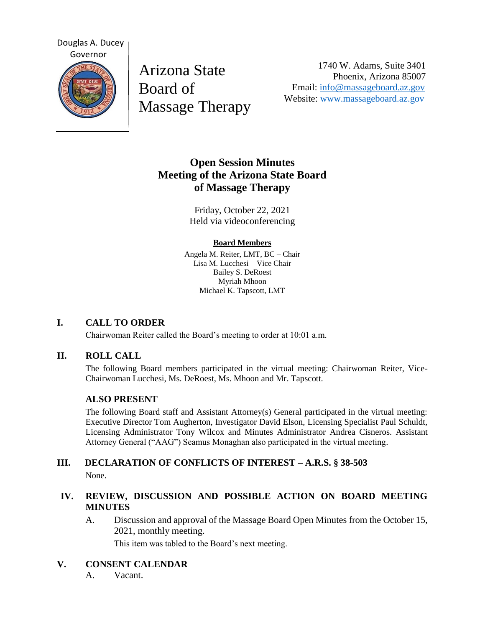

Arizona State Board of Massage Therapy

1740 W. Adams, Suite 3401 Phoenix, Arizona 85007 Email: [info@massageboard.az.gov](mailto:info@massageboard.az.gov) Website: [www.massageboard.az.gov](http://www.massageboard.az.gov/)

# **Open Session Minutes Meeting of the Arizona State Board of Massage Therapy**

Friday, October 22, 2021 Held via videoconferencing

#### **Board Members**

Angela M. Reiter, LMT, BC – Chair Lisa M. Lucchesi – Vice Chair Bailey S. DeRoest Myriah Mhoon Michael K. Tapscott, LMT

## **I. CALL TO ORDER**

Chairwoman Reiter called the Board's meeting to order at 10:01 a.m.

## **II. ROLL CALL**

The following Board members participated in the virtual meeting: Chairwoman Reiter, Vice-Chairwoman Lucchesi, Ms. DeRoest, Ms. Mhoon and Mr. Tapscott.

## **ALSO PRESENT**

The following Board staff and Assistant Attorney(s) General participated in the virtual meeting: Executive Director Tom Augherton, Investigator David Elson, Licensing Specialist Paul Schuldt, Licensing Administrator Tony Wilcox and Minutes Administrator Andrea Cisneros. Assistant Attorney General ("AAG") Seamus Monaghan also participated in the virtual meeting.

#### **III. DECLARATION OF CONFLICTS OF INTEREST – A.R.S. § 38-503** None.

## **IV. REVIEW, DISCUSSION AND POSSIBLE ACTION ON BOARD MEETING MINUTES**

A. Discussion and approval of the Massage Board Open Minutes from the October 15, 2021, monthly meeting.

This item was tabled to the Board's next meeting.

## **V. CONSENT CALENDAR**

A. Vacant.